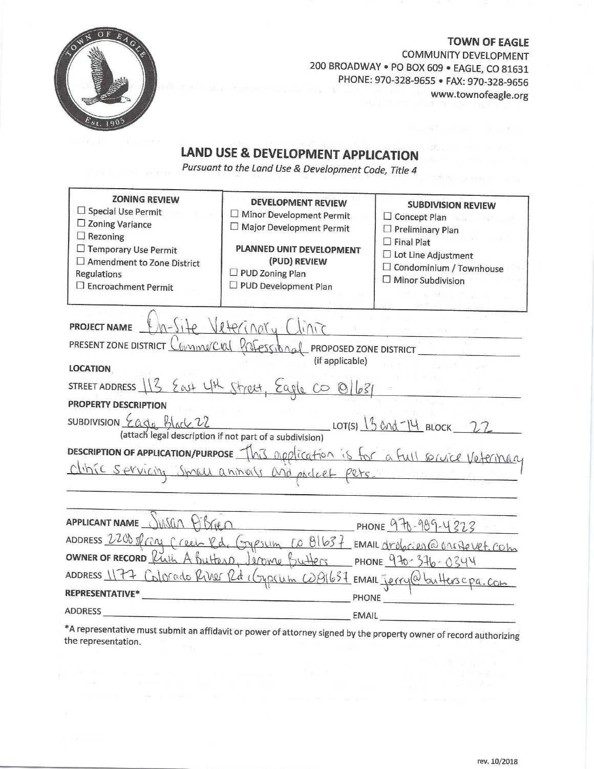

**TOWN OF EAGLE** COMMUNITY DEVELOPMENT 200 BROADWAY . PO BOX 609 . EAGLE, CO 81631 PHONE: 970-328-9655 · FAX: 970-328-9656 www.townofeagle.org  $\label{eq:R1} \mathcal{M}_{\text{R1},\text{R2}} = \mathcal{M}_{\text{R2},\text{R2}} + \frac{1}{2} \mathcal{M}_{\text{R2},\text{R2}} + \frac{1}{2} \mathcal{M}_{\text{R2},\text{R2}}$ 

# LAND USE & DEVELOPMENT APPLICATION

Pursuant to the Land Use & Development Code, Title 4

| <b>ZONING REVIEW</b><br>$\Box$ Special Use Permit<br>$\Box$ Zoning Variance<br>$\Box$ Rezoning<br>$\Box$ Temporary Use Permit<br>$\Box$ Amendment to Zone District<br><b>Regulations</b><br>□ Encroachment Permit | <b>DEVELOPMENT REVIEW</b><br>□ Minor Development Permit<br>□ Major Development Permit<br>PLANNED UNIT DEVELOPMENT<br>(PUD) REVIEW<br>$\square$ PUD Zoning Plan<br>□ PUD Development Plan | <b>SUBDIVISION REVIEW</b><br>□ Concept Plan<br>$\Box$ Preliminary Plan<br>$\Box$ Final Plat<br>□ Lot Line Adjustment<br>$\Box$ Condominium / Townhouse<br>$\square$ Minor Subdivision |
|-------------------------------------------------------------------------------------------------------------------------------------------------------------------------------------------------------------------|------------------------------------------------------------------------------------------------------------------------------------------------------------------------------------------|---------------------------------------------------------------------------------------------------------------------------------------------------------------------------------------|
| PROJECT NAME th-Site Veterinary Clinic                                                                                                                                                                            |                                                                                                                                                                                          |                                                                                                                                                                                       |
| PRESENT ZONE DISTRICT COMMUCIAL PROFESSIONAL PROPOSED ZONE DISTRICT                                                                                                                                               |                                                                                                                                                                                          |                                                                                                                                                                                       |
| <b>LOCATION</b>                                                                                                                                                                                                   | (if applicable)                                                                                                                                                                          |                                                                                                                                                                                       |
| STREET ADDRESS 13 East 4th Street, Eagle CO 01631                                                                                                                                                                 |                                                                                                                                                                                          |                                                                                                                                                                                       |
| <b>PROPERTY DESCRIPTION</b>                                                                                                                                                                                       |                                                                                                                                                                                          |                                                                                                                                                                                       |
|                                                                                                                                                                                                                   |                                                                                                                                                                                          |                                                                                                                                                                                       |
|                                                                                                                                                                                                                   |                                                                                                                                                                                          |                                                                                                                                                                                       |
| DESCRIPTION OF APPLICATION/PURPOSE This application is for a full service Veterinary                                                                                                                              |                                                                                                                                                                                          |                                                                                                                                                                                       |
|                                                                                                                                                                                                                   |                                                                                                                                                                                          |                                                                                                                                                                                       |
| APPLICANT NAME JUSCIN PISTED                                                                                                                                                                                      |                                                                                                                                                                                          |                                                                                                                                                                                       |
|                                                                                                                                                                                                                   |                                                                                                                                                                                          |                                                                                                                                                                                       |
| ADDRESS 2200 sfray Creen Rd. Gypsum 10 B1637 EMAIL drobaies @ Onsitevet.com                                                                                                                                       |                                                                                                                                                                                          |                                                                                                                                                                                       |
| ADDRESS 1177 Colorado River Rd (cypicum W81637 EMAIL Jerry@butterscpa.com                                                                                                                                         |                                                                                                                                                                                          |                                                                                                                                                                                       |
| <b>REPRESENTATIVE*</b>                                                                                                                                                                                            | <b>PHONE</b>                                                                                                                                                                             |                                                                                                                                                                                       |
| ADDRESS                                                                                                                                                                                                           | <b>EMAIL</b>                                                                                                                                                                             |                                                                                                                                                                                       |
|                                                                                                                                                                                                                   |                                                                                                                                                                                          |                                                                                                                                                                                       |

\*A representative must submit an affidavit or power of attorney signed by the property owner of record authorizing the representation.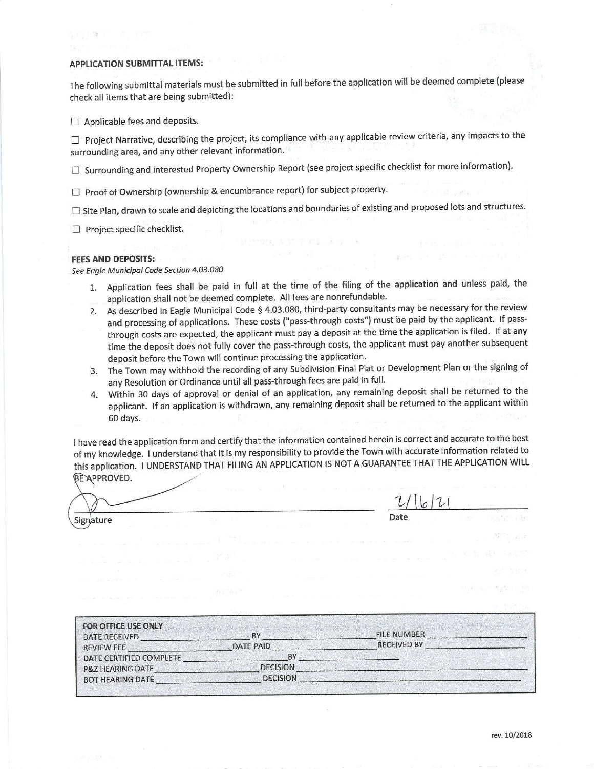#### **APPLICATION SUBMITTAL ITEMS:**

grandes in a rem

The following submittal materials must be submitted in full before the application will be deemed complete (please check all items that are being submitted):

 $\Box$  Applicable fees and deposits.

 $\Box$  Project Narrative, describing the project, its compliance with any applicable review criteria, any impacts to the surrounding area, and any other relevant information.

□ Surrounding and interested Property Ownership Report (see project specific checklist for more information).

□ Proof of Ownership (ownership & encumbrance report) for subject property.

 $\Box$  Site Plan, drawn to scale and depicting the locations and boundaries of existing and proposed lots and structures.

 $\Box$  Project specific checklist.

### **FEES AND DEPOSITS:**

See Eagle Municipal Code Section 4.03.080

- 1. Application fees shall be paid in full at the time of the filing of the application and unless paid, the application shall not be deemed complete. All fees are nonrefundable.
- 2. As described in Eagle Municipal Code § 4.03.080, third-party consultants may be necessary for the review and processing of applications. These costs ("pass-through costs") must be paid by the applicant. If passthrough costs are expected, the applicant must pay a deposit at the time the application is filed. If at any time the deposit does not fully cover the pass-through costs, the applicant must pay another subsequent deposit before the Town will continue processing the application.
- 3. The Town may withhold the recording of any Subdivision Final Plat or Development Plan or the signing of any Resolution or Ordinance until all pass-through fees are paid in full.
- 4. Within 30 days of approval or denial of an application, any remaining deposit shall be returned to the applicant. If an application is withdrawn, any remaining deposit shall be returned to the applicant within 60 days.

I have read the application form and certify that the information contained herein is correct and accurate to the best of my knowledge. I understand that it is my responsibility to provide the Town with accurate information related to this application. I UNDERSTAND THAT FILING AN APPLICATION IS NOT A GUARANTEE THAT THE APPLICATION WILL BEAPPROVED.

Signature

 $2/16/21$ Date

 $\mathcal{X} \rightarrow \mathbb{R}^d$ 

| <b>FOR OFFICE USE ONLY</b><br>DATE RECEIVED | BY              | <b>FILE NUMBER</b> |
|---------------------------------------------|-----------------|--------------------|
| <b>REVIEW FEE</b>                           | DATE PAID       | <b>RECEIVED BY</b> |
| DATE CERTIFIED COMPLETE                     | BY              |                    |
| <b>P&amp;Z HEARING DATE</b>                 | <b>DECISION</b> |                    |
| <b>BOT HEARING DATE</b>                     | <b>DECISION</b> |                    |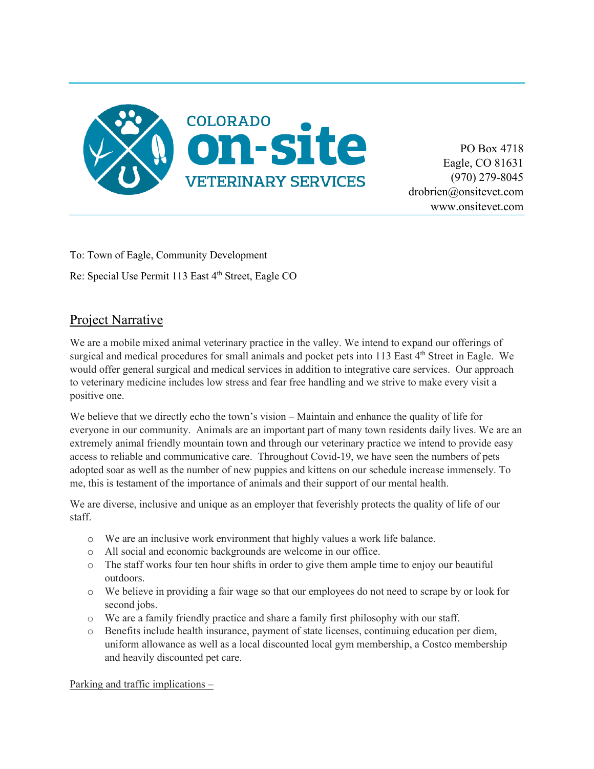

PO Box 4718 Eagle, CO 81631 (970) 279-8045 drobrien@onsitevet.com www.onsitevet.com

To: Town of Eagle, Community Development

Re: Special Use Permit 113 East 4<sup>th</sup> Street, Eagle CO

# Project Narrative

We are a mobile mixed animal veterinary practice in the valley. We intend to expand our offerings of surgical and medical procedures for small animals and pocket pets into 113 East 4<sup>th</sup> Street in Eagle. We would offer general surgical and medical services in addition to integrative care services. Our approach to veterinary medicine includes low stress and fear free handling and we strive to make every visit a positive one.

We believe that we directly echo the town's vision – Maintain and enhance the quality of life for everyone in our community. Animals are an important part of many town residents daily lives. We are an extremely animal friendly mountain town and through our veterinary practice we intend to provide easy access to reliable and communicative care. Throughout Covid-19, we have seen the numbers of pets adopted soar as well as the number of new puppies and kittens on our schedule increase immensely. To me, this is testament of the importance of animals and their support of our mental health.

We are diverse, inclusive and unique as an employer that feverishly protects the quality of life of our staff.

- o We are an inclusive work environment that highly values a work life balance.
- o All social and economic backgrounds are welcome in our office.
- o The staff works four ten hour shifts in order to give them ample time to enjoy our beautiful outdoors.
- o We believe in providing a fair wage so that our employees do not need to scrape by or look for second jobs.
- o We are a family friendly practice and share a family first philosophy with our staff.
- o Benefits include health insurance, payment of state licenses, continuing education per diem, uniform allowance as well as a local discounted local gym membership, a Costco membership and heavily discounted pet care.

Parking and traffic implications –